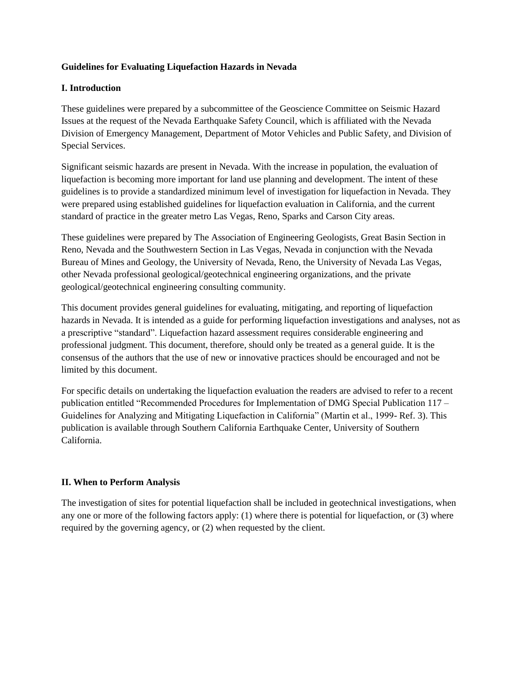### **Guidelines for Evaluating Liquefaction Hazards in Nevada**

## **I. Introduction**

These guidelines were prepared by a subcommittee of the Geoscience Committee on Seismic Hazard Issues at the request of the Nevada Earthquake Safety Council, which is affiliated with the Nevada Division of Emergency Management, Department of Motor Vehicles and Public Safety, and Division of Special Services.

Significant seismic hazards are present in Nevada. With the increase in population, the evaluation of liquefaction is becoming more important for land use planning and development. The intent of these guidelines is to provide a standardized minimum level of investigation for liquefaction in Nevada. They were prepared using established guidelines for liquefaction evaluation in California, and the current standard of practice in the greater metro Las Vegas, Reno, Sparks and Carson City areas.

These guidelines were prepared by The Association of Engineering Geologists, Great Basin Section in Reno, Nevada and the Southwestern Section in Las Vegas, Nevada in conjunction with the Nevada Bureau of Mines and Geology, the University of Nevada, Reno, the University of Nevada Las Vegas, other Nevada professional geological/geotechnical engineering organizations, and the private geological/geotechnical engineering consulting community.

This document provides general guidelines for evaluating, mitigating, and reporting of liquefaction hazards in Nevada. It is intended as a guide for performing liquefaction investigations and analyses, not as a prescriptive "standard". Liquefaction hazard assessment requires considerable engineering and professional judgment. This document, therefore, should only be treated as a general guide. It is the consensus of the authors that the use of new or innovative practices should be encouraged and not be limited by this document.

For specific details on undertaking the liquefaction evaluation the readers are advised to refer to a recent publication entitled "Recommended Procedures for Implementation of DMG Special Publication 117 – Guidelines for Analyzing and Mitigating Liquefaction in California" (Martin et al., 1999- Ref. 3). This publication is available through Southern California Earthquake Center, University of Southern California.

# **II. When to Perform Analysis**

The investigation of sites for potential liquefaction shall be included in geotechnical investigations, when any one or more of the following factors apply: (1) where there is potential for liquefaction, or (3) where required by the governing agency, or (2) when requested by the client.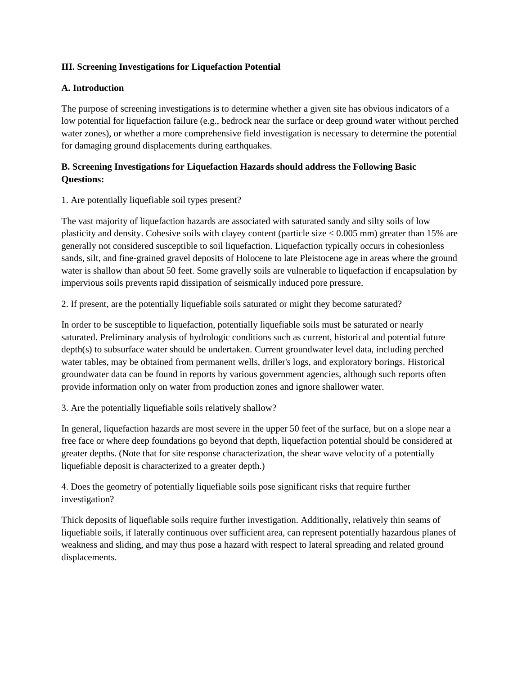### **III. Screening Investigations for Liquefaction Potential**

### **A. Introduction**

The purpose of screening investigations is to determine whether a given site has obvious indicators of a low potential for liquefaction failure (e.g., bedrock near the surface or deep ground water without perched water zones), or whether a more comprehensive field investigation is necessary to determine the potential for damaging ground displacements during earthquakes.

# **B. Screening Investigations for Liquefaction Hazards should address the Following Basic Questions:**

### 1. Are potentially liquefiable soil types present?

The vast majority of liquefaction hazards are associated with saturated sandy and silty soils of low plasticity and density. Cohesive soils with clayey content (particle size  $< 0.005$  mm) greater than 15% are generally not considered susceptible to soil liquefaction. Liquefaction typically occurs in cohesionless sands, silt, and fine-grained gravel deposits of Holocene to late Pleistocene age in areas where the ground water is shallow than about 50 feet. Some gravelly soils are vulnerable to liquefaction if encapsulation by impervious soils prevents rapid dissipation of seismically induced pore pressure.

2. If present, are the potentially liquefiable soils saturated or might they become saturated?

In order to be susceptible to liquefaction, potentially liquefiable soils must be saturated or nearly saturated. Preliminary analysis of hydrologic conditions such as current, historical and potential future depth(s) to subsurface water should be undertaken. Current groundwater level data, including perched water tables, may be obtained from permanent wells, driller's logs, and exploratory borings. Historical groundwater data can be found in reports by various government agencies, although such reports often provide information only on water from production zones and ignore shallower water.

3. Are the potentially liquefiable soils relatively shallow?

In general, liquefaction hazards are most severe in the upper 50 feet of the surface, but on a slope near a free face or where deep foundations go beyond that depth, liquefaction potential should be considered at greater depths. (Note that for site response characterization, the shear wave velocity of a potentially liquefiable deposit is characterized to a greater depth.)

4. Does the geometry of potentially liquefiable soils pose significant risks that require further investigation?

Thick deposits of liquefiable soils require further investigation. Additionally, relatively thin seams of liquefiable soils, if laterally continuous over sufficient area, can represent potentially hazardous planes of weakness and sliding, and may thus pose a hazard with respect to lateral spreading and related ground displacements.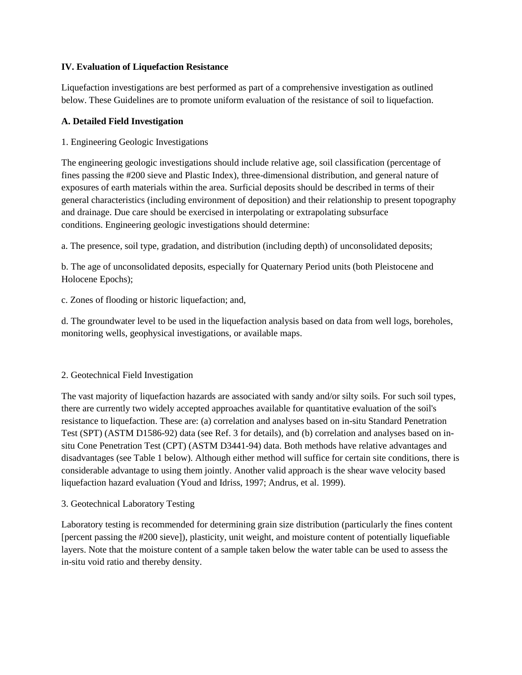## **IV. Evaluation of Liquefaction Resistance**

Liquefaction investigations are best performed as part of a comprehensive investigation as outlined below. These Guidelines are to promote uniform evaluation of the resistance of soil to liquefaction.

#### **A. Detailed Field Investigation**

1. Engineering Geologic Investigations

The engineering geologic investigations should include relative age, soil classification (percentage of fines passing the #200 sieve and Plastic Index), three-dimensional distribution, and general nature of exposures of earth materials within the area. Surficial deposits should be described in terms of their general characteristics (including environment of deposition) and their relationship to present topography and drainage. Due care should be exercised in interpolating or extrapolating subsurface conditions. Engineering geologic investigations should determine:

a. The presence, soil type, gradation, and distribution (including depth) of unconsolidated deposits;

b. The age of unconsolidated deposits, especially for Quaternary Period units (both Pleistocene and Holocene Epochs);

c. Zones of flooding or historic liquefaction; and,

d. The groundwater level to be used in the liquefaction analysis based on data from well logs, boreholes, monitoring wells, geophysical investigations, or available maps.

# 2. Geotechnical Field Investigation

The vast majority of liquefaction hazards are associated with sandy and/or silty soils. For such soil types, there are currently two widely accepted approaches available for quantitative evaluation of the soil's resistance to liquefaction. These are: (a) correlation and analyses based on in-situ Standard Penetration Test (SPT) (ASTM D1586-92) data (see Ref. 3 for details), and (b) correlation and analyses based on insitu Cone Penetration Test (CPT) (ASTM D3441-94) data. Both methods have relative advantages and disadvantages (see Table 1 below). Although either method will suffice for certain site conditions, there is considerable advantage to using them jointly. Another valid approach is the shear wave velocity based liquefaction hazard evaluation (Youd and Idriss, 1997; Andrus, et al. 1999).

# 3. Geotechnical Laboratory Testing

Laboratory testing is recommended for determining grain size distribution (particularly the fines content [percent passing the #200 sieve]), plasticity, unit weight, and moisture content of potentially liquefiable layers. Note that the moisture content of a sample taken below the water table can be used to assess the in-situ void ratio and thereby density.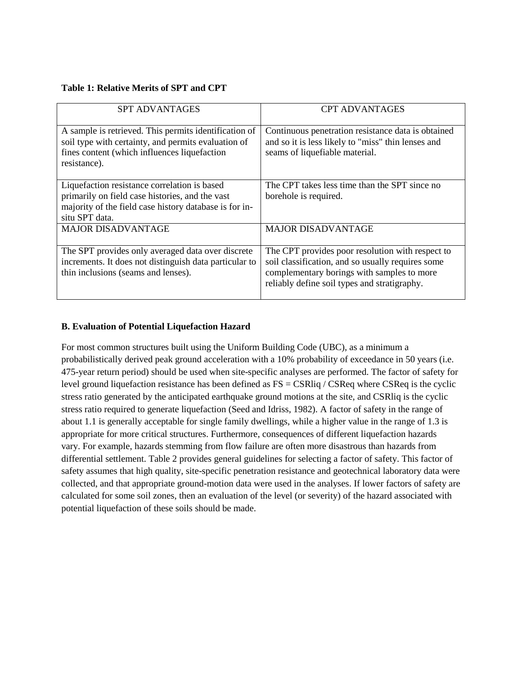#### **Table 1: Relative Merits of SPT and CPT**

| <b>SPT ADVANTAGES</b>                                                                                                                                                        | <b>CPT ADVANTAGES</b>                                                                                                                      |
|------------------------------------------------------------------------------------------------------------------------------------------------------------------------------|--------------------------------------------------------------------------------------------------------------------------------------------|
| A sample is retrieved. This permits identification of<br>soil type with certainty, and permits evaluation of<br>fines content (which influences liquefaction<br>resistance). | Continuous penetration resistance data is obtained<br>and so it is less likely to "miss" thin lenses and<br>seams of liquefiable material. |
| Liquefaction resistance correlation is based                                                                                                                                 | The CPT takes less time than the SPT since no                                                                                              |
| primarily on field case histories, and the vast                                                                                                                              | borehole is required.                                                                                                                      |
| majority of the field case history database is for in-<br>situ SPT data.                                                                                                     |                                                                                                                                            |
| <b>MAJOR DISADVANTAGE</b>                                                                                                                                                    | <b>MAJOR DISADVANTAGE</b>                                                                                                                  |
|                                                                                                                                                                              |                                                                                                                                            |
| The SPT provides only averaged data over discrete                                                                                                                            | The CPT provides poor resolution with respect to                                                                                           |
| increments. It does not distinguish data particular to                                                                                                                       | soil classification, and so usually requires some                                                                                          |
| thin inclusions (seams and lenses).                                                                                                                                          | complementary borings with samples to more                                                                                                 |
|                                                                                                                                                                              | reliably define soil types and stratigraphy.                                                                                               |

# **B. Evaluation of Potential Liquefaction Hazard**

For most common structures built using the Uniform Building Code (UBC), as a minimum a probabilistically derived peak ground acceleration with a 10% probability of exceedance in 50 years (i.e. 475-year return period) should be used when site-specific analyses are performed. The factor of safety for level ground liquefaction resistance has been defined as  $FS = CSRliq / CSRed$  where  $CSReg$  is the cyclic stress ratio generated by the anticipated earthquake ground motions at the site, and CSRliq is the cyclic stress ratio required to generate liquefaction (Seed and Idriss, 1982). A factor of safety in the range of about 1.1 is generally acceptable for single family dwellings, while a higher value in the range of 1.3 is appropriate for more critical structures. Furthermore, consequences of different liquefaction hazards vary. For example, hazards stemming from flow failure are often more disastrous than hazards from differential settlement. Table 2 provides general guidelines for selecting a factor of safety. This factor of safety assumes that high quality, site-specific penetration resistance and geotechnical laboratory data were collected, and that appropriate ground-motion data were used in the analyses. If lower factors of safety are calculated for some soil zones, then an evaluation of the level (or severity) of the hazard associated with potential liquefaction of these soils should be made.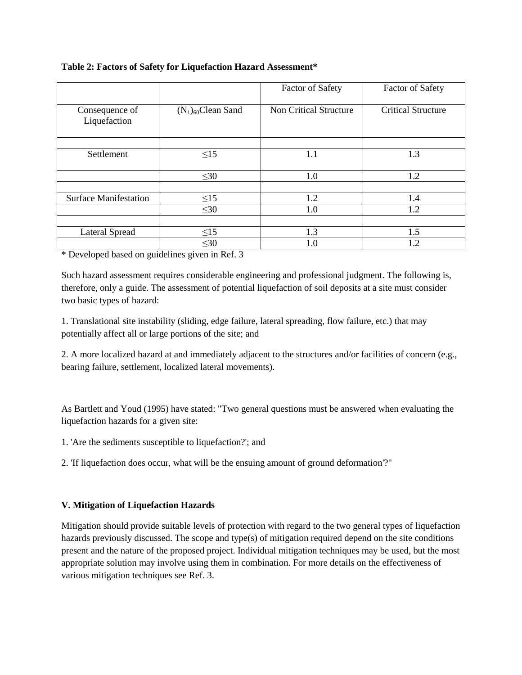### **Table 2: Factors of Safety for Liquefaction Hazard Assessment\***

|                                |                         | <b>Factor of Safety</b>       | <b>Factor of Safety</b>   |
|--------------------------------|-------------------------|-------------------------------|---------------------------|
| Consequence of<br>Liquefaction | $(N_1)_{60}$ Clean Sand | <b>Non Critical Structure</b> | <b>Critical Structure</b> |
|                                |                         |                               |                           |
| Settlement                     | $\leq15$                | $1.1\,$                       | 1.3                       |
|                                | $\leq 30$               | 1.0                           | 1.2                       |
|                                |                         |                               |                           |
| <b>Surface Manifestation</b>   | $\leq$ 15               | 1.2                           | 1.4                       |
|                                | $\leq 30$               | 1.0                           | 1.2                       |
|                                |                         |                               |                           |
| Lateral Spread                 | $\leq15$                | 1.3                           | 1.5                       |
|                                | $\leq 30$               | $1.0\,$                       | 1.2                       |

\* Developed based on guidelines given in Ref. 3

Such hazard assessment requires considerable engineering and professional judgment. The following is, therefore, only a guide. The assessment of potential liquefaction of soil deposits at a site must consider two basic types of hazard:

1. Translational site instability (sliding, edge failure, lateral spreading, flow failure, etc.) that may potentially affect all or large portions of the site; and

2. A more localized hazard at and immediately adjacent to the structures and/or facilities of concern (e.g., bearing failure, settlement, localized lateral movements).

As Bartlett and Youd (1995) have stated: "Two general questions must be answered when evaluating the liquefaction hazards for a given site:

1. 'Are the sediments susceptible to liquefaction?'; and

2. 'If liquefaction does occur, what will be the ensuing amount of ground deformation'?"

# **V. Mitigation of Liquefaction Hazards**

Mitigation should provide suitable levels of protection with regard to the two general types of liquefaction hazards previously discussed. The scope and type(s) of mitigation required depend on the site conditions present and the nature of the proposed project. Individual mitigation techniques may be used, but the most appropriate solution may involve using them in combination. For more details on the effectiveness of various mitigation techniques see Ref. 3.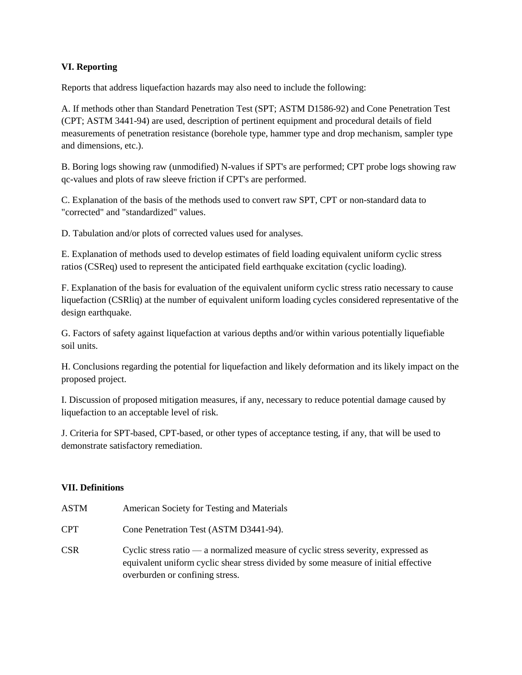## **VI. Reporting**

Reports that address liquefaction hazards may also need to include the following:

A. If methods other than Standard Penetration Test (SPT; ASTM D1586-92) and Cone Penetration Test (CPT; ASTM 3441-94) are used, description of pertinent equipment and procedural details of field measurements of penetration resistance (borehole type, hammer type and drop mechanism, sampler type and dimensions, etc.).

B. Boring logs showing raw (unmodified) N-values if SPT's are performed; CPT probe logs showing raw qc-values and plots of raw sleeve friction if CPT's are performed.

C. Explanation of the basis of the methods used to convert raw SPT, CPT or non-standard data to "corrected" and "standardized" values.

D. Tabulation and/or plots of corrected values used for analyses.

E. Explanation of methods used to develop estimates of field loading equivalent uniform cyclic stress ratios (CSReq) used to represent the anticipated field earthquake excitation (cyclic loading).

F. Explanation of the basis for evaluation of the equivalent uniform cyclic stress ratio necessary to cause liquefaction (CSRliq) at the number of equivalent uniform loading cycles considered representative of the design earthquake.

G. Factors of safety against liquefaction at various depths and/or within various potentially liquefiable soil units.

H. Conclusions regarding the potential for liquefaction and likely deformation and its likely impact on the proposed project.

I. Discussion of proposed mitigation measures, if any, necessary to reduce potential damage caused by liquefaction to an acceptable level of risk.

J. Criteria for SPT-based, CPT-based, or other types of acceptance testing, if any, that will be used to demonstrate satisfactory remediation.

# **VII. Definitions**

| ASTM | American Society for Testing and Materials                                                                                                                                                                   |
|------|--------------------------------------------------------------------------------------------------------------------------------------------------------------------------------------------------------------|
| CPT. | Cone Penetration Test (ASTM D3441-94).                                                                                                                                                                       |
| CSR. | Cyclic stress ratio — a normalized measure of cyclic stress severity, expressed as<br>equivalent uniform cyclic shear stress divided by some measure of initial effective<br>overburden or confining stress. |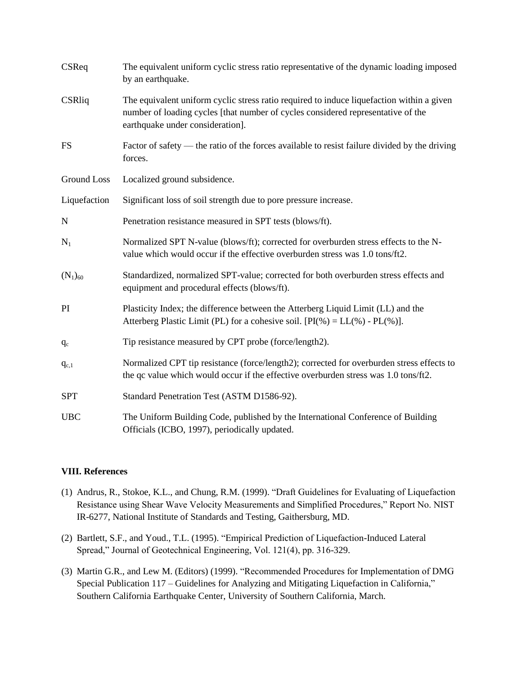| CSReq              | The equivalent uniform cyclic stress ratio representative of the dynamic loading imposed<br>by an earthquake.                                                                                                     |
|--------------------|-------------------------------------------------------------------------------------------------------------------------------------------------------------------------------------------------------------------|
| <b>CSRliq</b>      | The equivalent uniform cyclic stress ratio required to induce liquefaction within a given<br>number of loading cycles [that number of cycles considered representative of the<br>earthquake under consideration]. |
| <b>FS</b>          | Factor of safety — the ratio of the forces available to resist failure divided by the driving<br>forces.                                                                                                          |
| <b>Ground Loss</b> | Localized ground subsidence.                                                                                                                                                                                      |
| Liquefaction       | Significant loss of soil strength due to pore pressure increase.                                                                                                                                                  |
| $\mathbf N$        | Penetration resistance measured in SPT tests (blows/ft).                                                                                                                                                          |
| $N_1$              | Normalized SPT N-value (blows/ft); corrected for overburden stress effects to the N-<br>value which would occur if the effective overburden stress was 1.0 tons/ft2.                                              |
| $(N_1)_{60}$       | Standardized, normalized SPT-value; corrected for both overburden stress effects and<br>equipment and procedural effects (blows/ft).                                                                              |
| PI                 | Plasticity Index; the difference between the Atterberg Liquid Limit (LL) and the<br>Atterberg Plastic Limit (PL) for a cohesive soil. $[PI(\%)=LL(\%)-PL(\%)]$ .                                                  |
| $q_c$              | Tip resistance measured by CPT probe (force/length2).                                                                                                                                                             |
| $q_{c,1}$          | Normalized CPT tip resistance (force/length2); corrected for overburden stress effects to<br>the qc value which would occur if the effective overburden stress was 1.0 tons/ft2.                                  |
| <b>SPT</b>         | Standard Penetration Test (ASTM D1586-92).                                                                                                                                                                        |
| <b>UBC</b>         | The Uniform Building Code, published by the International Conference of Building<br>Officials (ICBO, 1997), periodically updated.                                                                                 |

# **VIII. References**

- (1) Andrus, R., Stokoe, K.L., and Chung, R.M. (1999). "Draft Guidelines for Evaluating of Liquefaction Resistance using Shear Wave Velocity Measurements and Simplified Procedures," Report No. NIST IR-6277, National Institute of Standards and Testing, Gaithersburg, MD.
- (2) Bartlett, S.F., and Youd., T.L. (1995). "Empirical Prediction of Liquefaction-Induced Lateral Spread," Journal of Geotechnical Engineering, Vol. 121(4), pp. 316-329.
- (3) Martin G.R., and Lew M. (Editors) (1999). "Recommended Procedures for Implementation of DMG Special Publication 117 – Guidelines for Analyzing and Mitigating Liquefaction in California," Southern California Earthquake Center, University of Southern California, March.